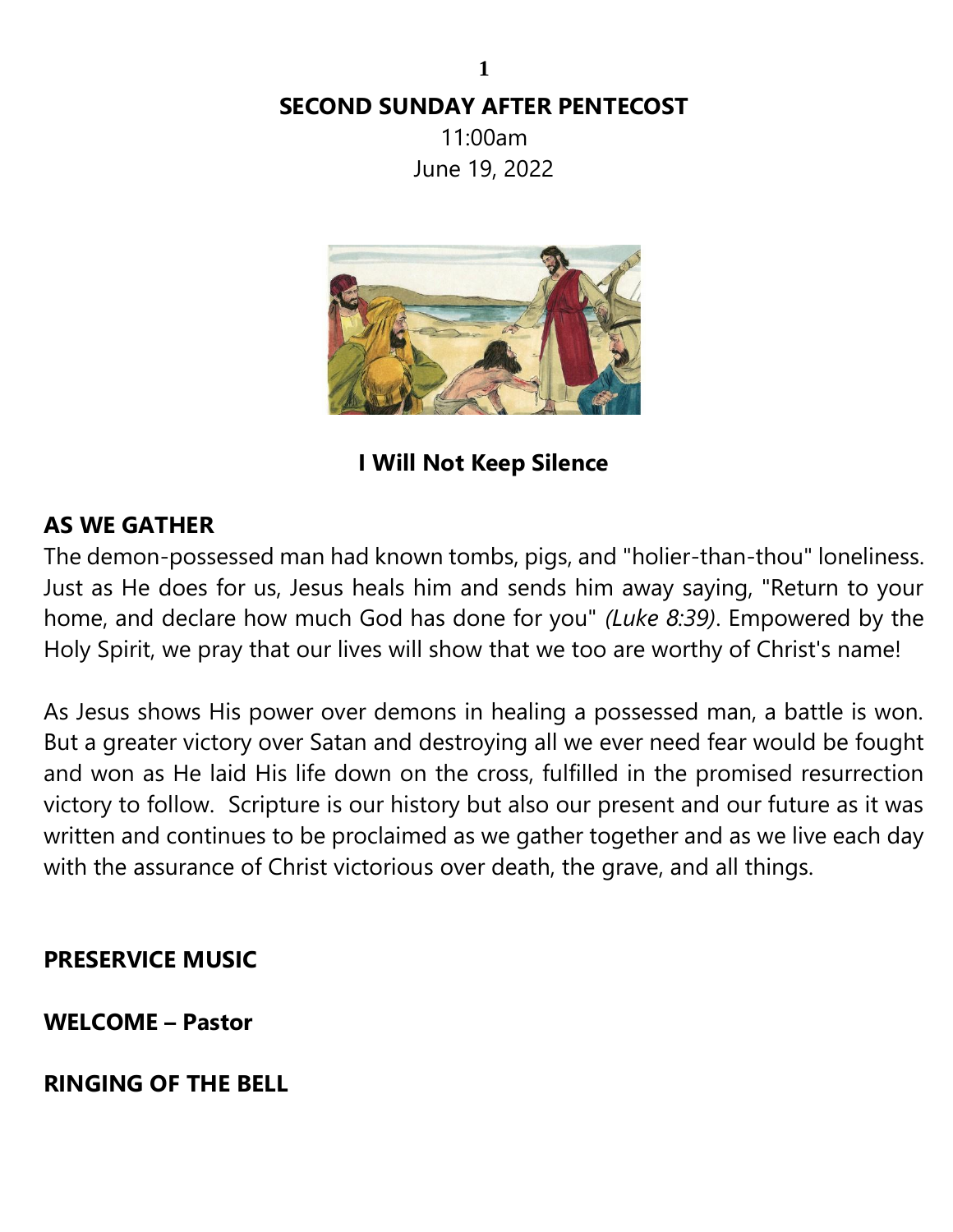**SECOND SUNDAY AFTER PENTECOST**

11:00am June 19, 2022



**I Will Not Keep Silence**

# **AS WE GATHER**

The demon-possessed man had known tombs, pigs, and "holier-than-thou" loneliness. Just as He does for us, Jesus heals him and sends him away saying, "Return to your home, and declare how much God has done for you" *(Luke 8:39)*. Empowered by the Holy Spirit, we pray that our lives will show that we too are worthy of Christ's name!

As Jesus shows His power over demons in healing a possessed man, a battle is won. But a greater victory over Satan and destroying all we ever need fear would be fought and won as He laid His life down on the cross, fulfilled in the promised resurrection victory to follow. Scripture is our history but also our present and our future as it was written and continues to be proclaimed as we gather together and as we live each day with the assurance of Christ victorious over death, the grave, and all things.

# **PRESERVICE MUSIC**

**WELCOME – Pastor**

**RINGING OF THE BELL**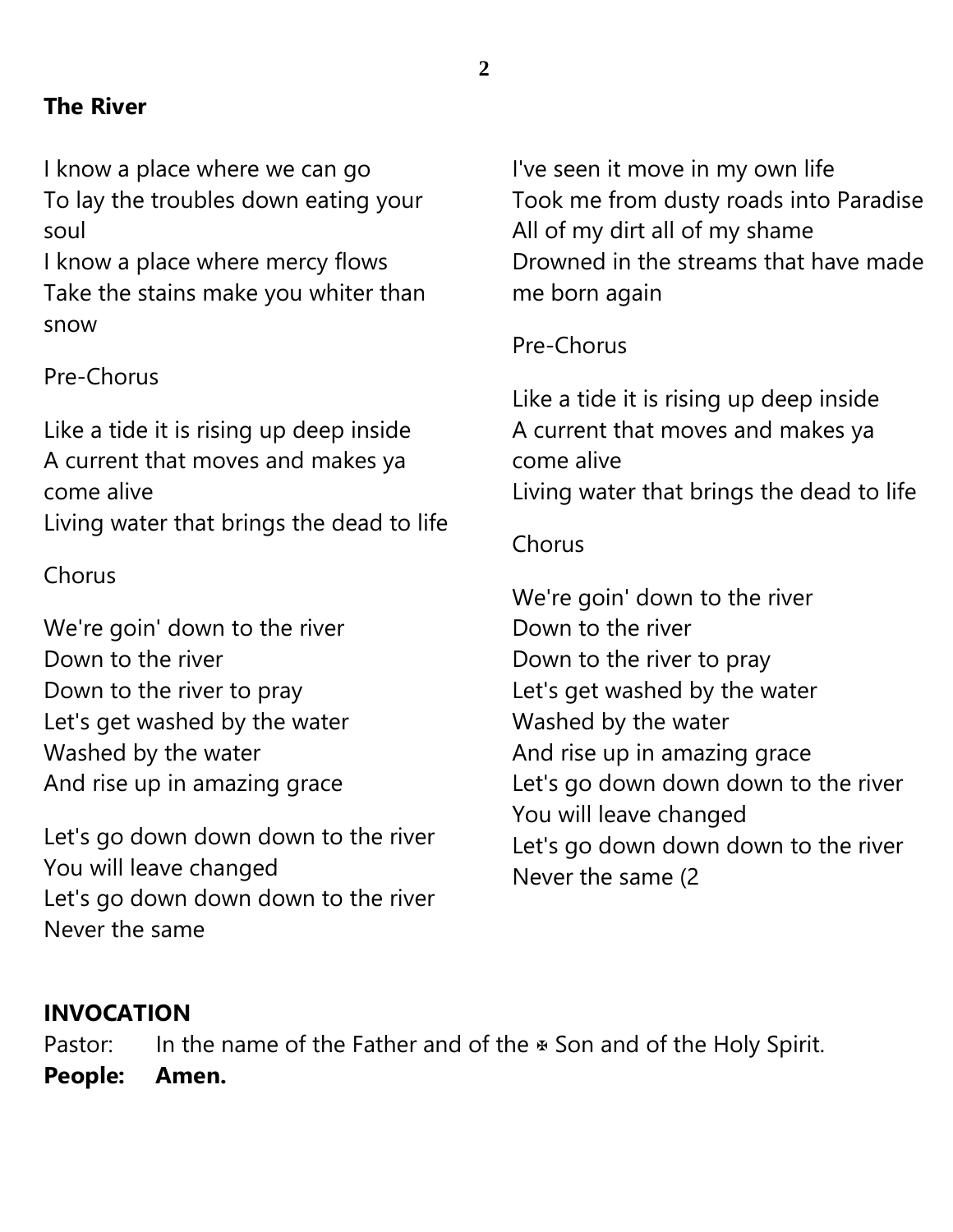# **The River**

I know a place where we can go To lay the troubles down eating your soul

I know a place where mercy flows Take the stains make you whiter than snow

## Pre-Chorus

Like a tide it is rising up deep inside A current that moves and makes ya come alive Living water that brings the dead to life

## Chorus

We're goin' down to the river Down to the river Down to the river to pray Let's get washed by the water Washed by the water And rise up in amazing grace

Let's go down down down to the river You will leave changed Let's go down down down to the river Never the same

I've seen it move in my own life Took me from dusty roads into Paradise All of my dirt all of my shame Drowned in the streams that have made me born again

Pre-Chorus

Like a tide it is rising up deep inside A current that moves and makes ya come alive Living water that brings the dead to life

## Chorus

We're goin' down to the river Down to the river Down to the river to pray Let's get washed by the water Washed by the water And rise up in amazing grace Let's go down down down to the river You will leave changed Let's go down down down to the river Never the same (2

# **INVOCATION**

Pastor: In the name of the Father and of the  $\ast$  Son and of the Holy Spirit. **People: Amen.**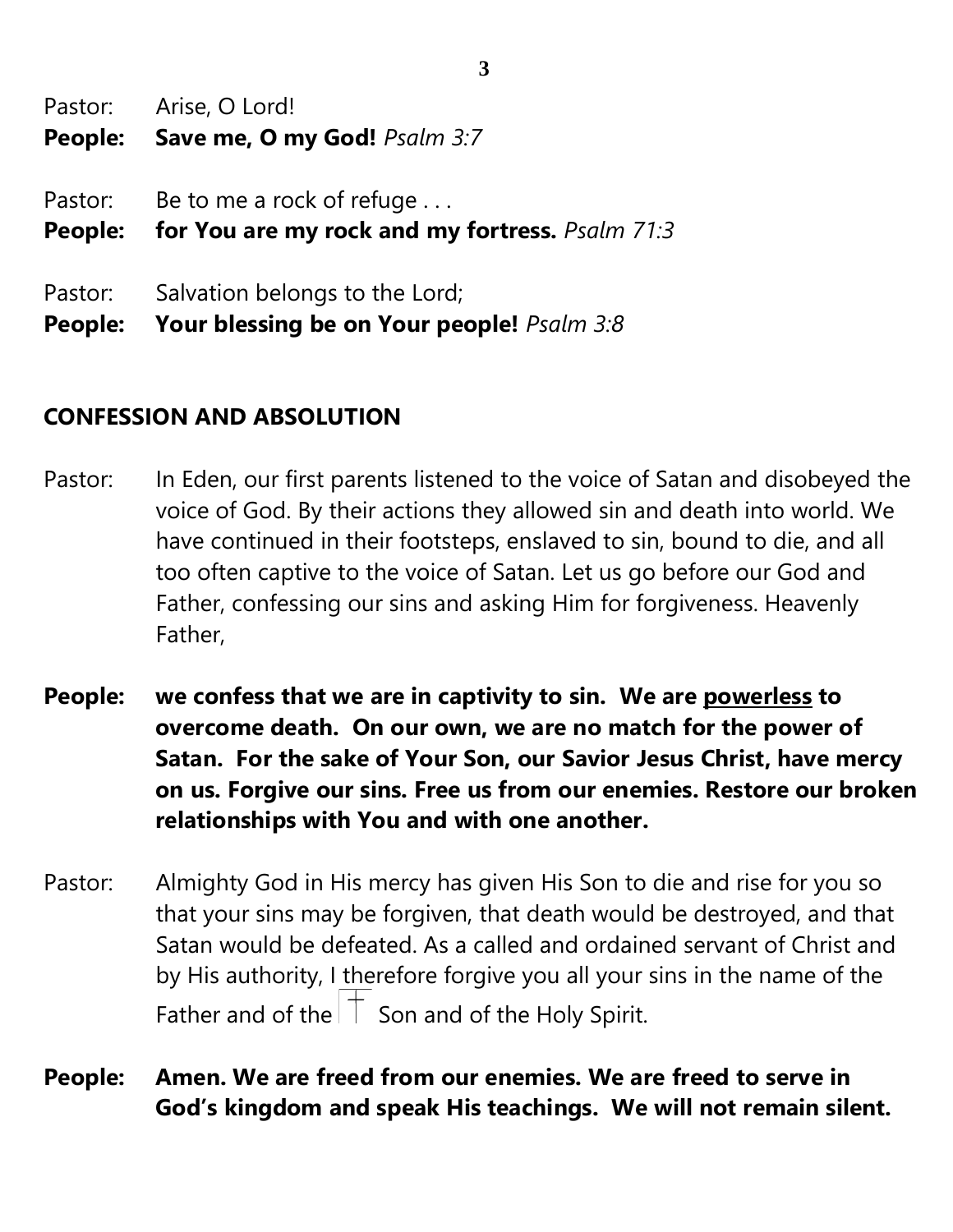Pastor: Arise, O Lord!

**People: Save me, O my God!** *Psalm 3:7*

Pastor: Be to me a rock of refuge . . .

**People: for You are my rock and my fortress.** *Psalm 71:3*

Pastor: Salvation belongs to the Lord;

**People: Your blessing be on Your people!** *Psalm 3:8*

# **CONFESSION AND ABSOLUTION**

- Pastor: In Eden, our first parents listened to the voice of Satan and disobeyed the voice of God. By their actions they allowed sin and death into world. We have continued in their footsteps, enslaved to sin, bound to die, and all too often captive to the voice of Satan. Let us go before our God and Father, confessing our sins and asking Him for forgiveness. Heavenly Father,
- **People: we confess that we are in captivity to sin. We are powerless to overcome death. On our own, we are no match for the power of Satan. For the sake of Your Son, our Savior Jesus Christ, have mercy on us. Forgive our sins. Free us from our enemies. Restore our broken relationships with You and with one another.**
- Pastor: Almighty God in His mercy has given His Son to die and rise for you so that your sins may be forgiven, that death would be destroyed, and that Satan would be defeated. As a called and ordained servant of Christ and by His authority, I therefore forgive you all your sins in the name of the Father and of the  $|\dagger|$  Son and of the Holy Spirit.

**People: Amen. We are freed from our enemies. We are freed to serve in God's kingdom and speak His teachings. We will not remain silent.**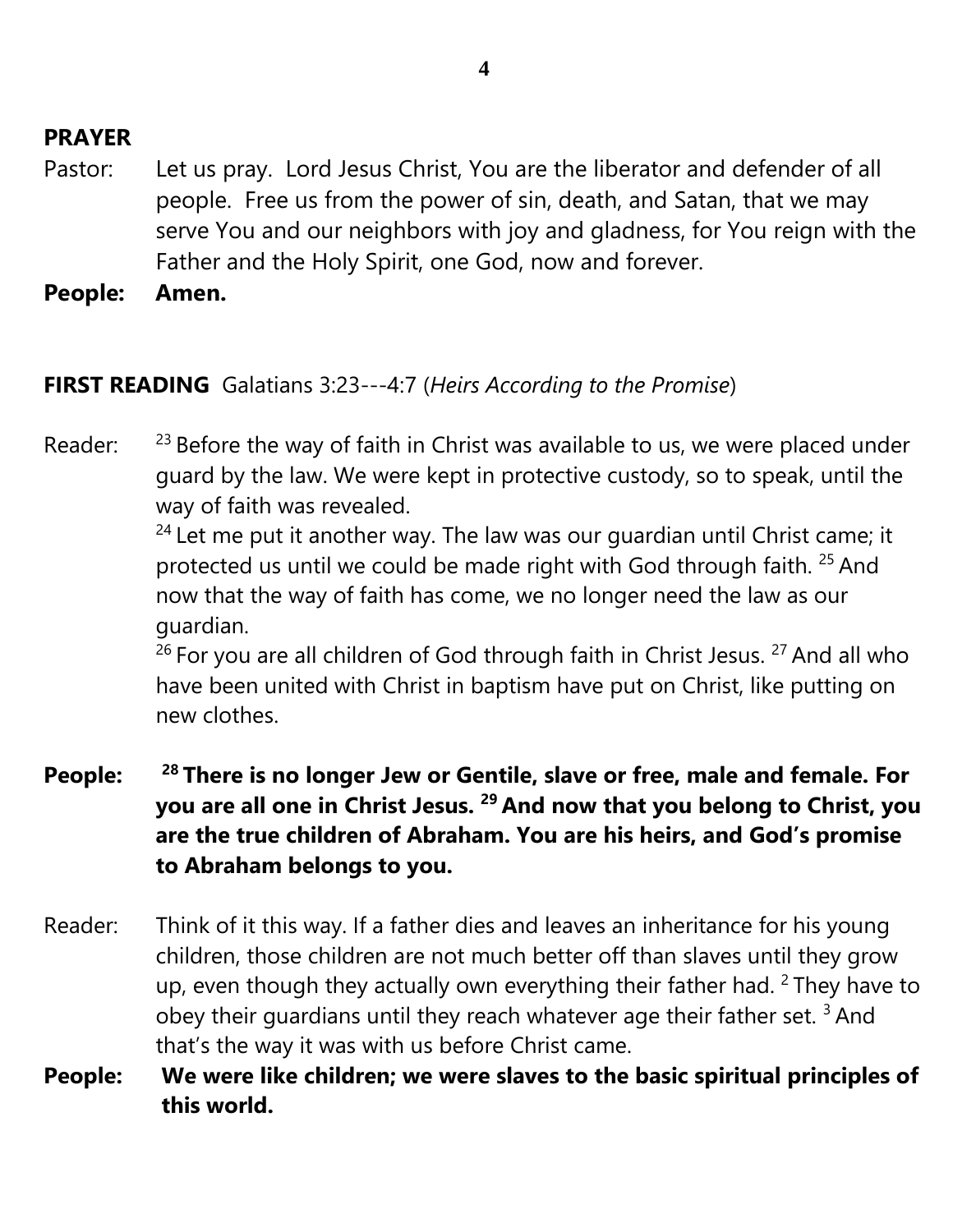# **PRAYER**

- Pastor: Let us pray. Lord Jesus Christ, You are the liberator and defender of all people. Free us from the power of sin, death, and Satan, that we may serve You and our neighbors with joy and gladness, for You reign with the Father and the Holy Spirit, one God, now and forever.
- **People: Amen.**

# **FIRST READING** Galatians 3:23---4:7 (*Heirs According to the Promise*)

Reader:  $^{23}$  Before the way of faith in Christ was available to us, we were placed under guard by the law. We were kept in protective custody, so to speak, until the way of faith was revealed.

 $24$  Let me put it another way. The law was our guardian until Christ came; it protected us until we could be made right with God through faith. <sup>25</sup> And now that the way of faith has come, we no longer need the law as our guardian.

 $26$  For you are all children of God through faith in Christ Jesus.  $27$  And all who have been united with Christ in baptism have put on Christ, like putting on new clothes.

- **People: <sup>28</sup> There is no longer Jew or Gentile, slave or free, male and female. For you are all one in Christ Jesus. <sup>29</sup> And now that you belong to Christ, you are the true children of Abraham. You are his heirs, and God's promise to Abraham belongs to you.**
- Reader: Think of it this way. If a father dies and leaves an inheritance for his young children, those children are not much better off than slaves until they grow up, even though they actually own everything their father had.  $2$  They have to obey their guardians until they reach whatever age their father set.<sup>3</sup> And that's the way it was with us before Christ came.
- **People: We were like children; we were slaves to the basic spiritual principles of this world.**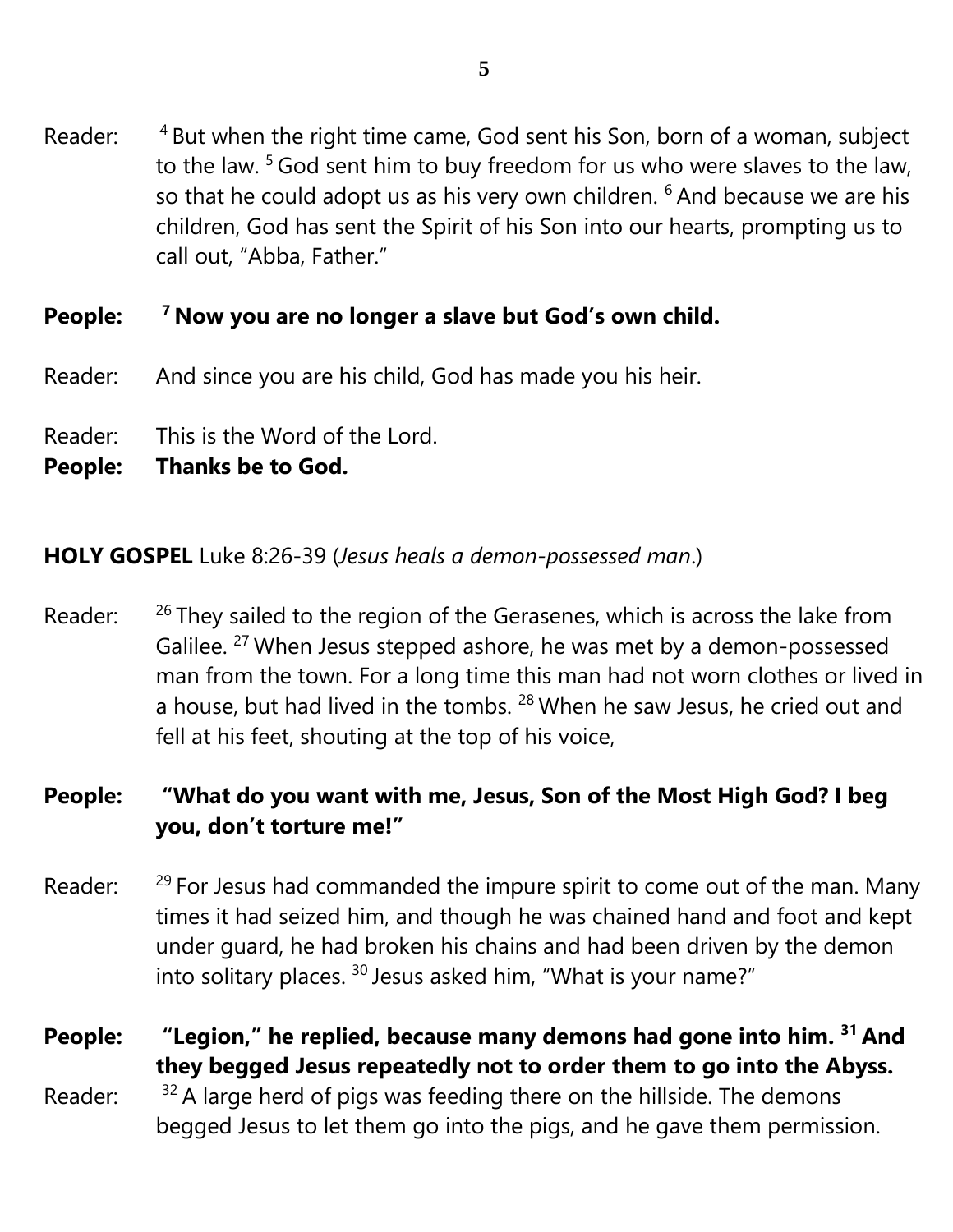Reader:  $4$  But when the right time came, God sent his Son, born of a woman, subject to the law. <sup>5</sup> God sent him to buy freedom for us who were slaves to the law, so that he could adopt us as his very own children.  $6$  And because we are his children, God has sent the Spirit of his Son into our hearts, prompting us to call out, "Abba, Father."

# **People: <sup>7</sup> Now you are no longer a slave but God's own child.**

- Reader: And since you are his child, God has made you his heir.
- Reader: This is the Word of the Lord.
- **People: Thanks be to God.**

#### **HOLY GOSPEL** Luke 8:26-39 (*Jesus heals a demon-possessed man*.)

Reader:  $^{26}$  They sailed to the region of the Gerasenes, which is across the lake from Galilee. <sup>27</sup> When Jesus stepped ashore, he was met by a demon-possessed man from the town. For a long time this man had not worn clothes or lived in a house, but had lived in the tombs. <sup>28</sup> When he saw Jesus, he cried out and fell at his feet, shouting at the top of his voice,

# **People: "What do you want with me, Jesus, Son of the Most High God? I beg you, don't torture me!"**

- Reader:  $^{29}$  For Jesus had commanded the impure spirit to come out of the man. Many times it had seized him, and though he was chained hand and foot and kept under guard, he had broken his chains and had been driven by the demon into solitary places.  $30$  Jesus asked him, "What is your name?"
- **People: "Legion," he replied, because many demons had gone into him. <sup>31</sup> And they begged Jesus repeatedly not to order them to go into the Abyss.** Reader:  $32$  A large herd of pigs was feeding there on the hillside. The demons

begged Jesus to let them go into the pigs, and he gave them permission.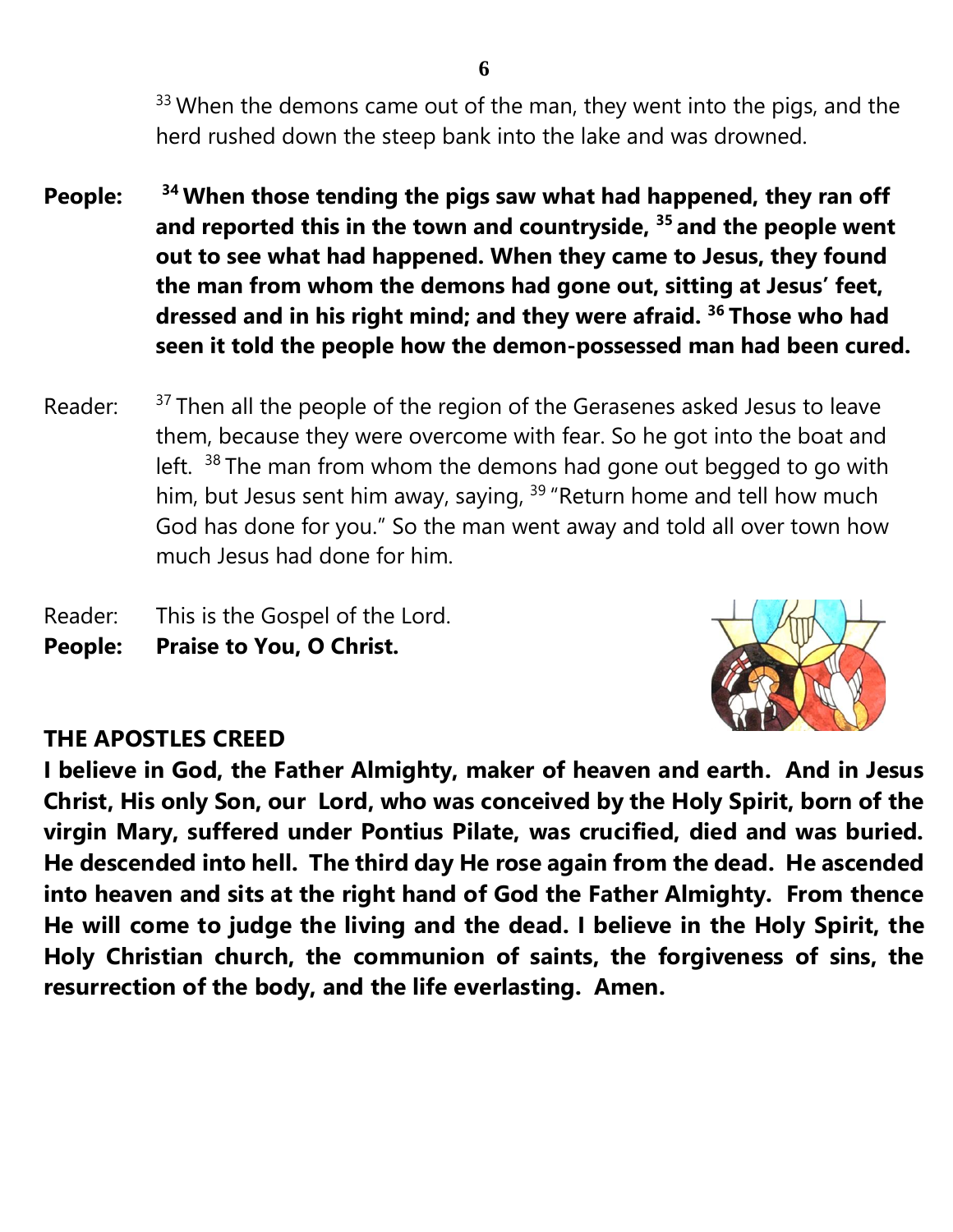<sup>33</sup> When the demons came out of the man, they went into the pigs, and the herd rushed down the steep bank into the lake and was drowned.

- **People: <sup>34</sup> When those tending the pigs saw what had happened, they ran off and reported this in the town and countryside, <sup>35</sup> and the people went out to see what had happened. When they came to Jesus, they found the man from whom the demons had gone out, sitting at Jesus' feet, dressed and in his right mind; and they were afraid. <sup>36</sup> Those who had seen it told the people how the demon-possessed man had been cured.**
- Reader: <sup>37</sup> Then all the people of the region of the Gerasenes asked Jesus to leave them, because they were overcome with fear. So he got into the boat and left.  $38$  The man from whom the demons had gone out begged to go with him, but Jesus sent him away, saying,  $39$  "Return home and tell how much God has done for you." So the man went away and told all over town how much Jesus had done for him.
- Reader: This is the Gospel of the Lord. **People: Praise to You, O Christ.**



# **THE APOSTLES CREED**

**I believe in God, the Father Almighty, maker of heaven and earth. And in Jesus Christ, His only Son, our Lord, who was conceived by the Holy Spirit, born of the virgin Mary, suffered under Pontius Pilate, was crucified, died and was buried. He descended into hell. The third day He rose again from the dead. He ascended into heaven and sits at the right hand of God the Father Almighty. From thence He will come to judge the living and the dead. I believe in the Holy Spirit, the Holy Christian church, the communion of saints, the forgiveness of sins, the resurrection of the body, and the life everlasting. Amen.**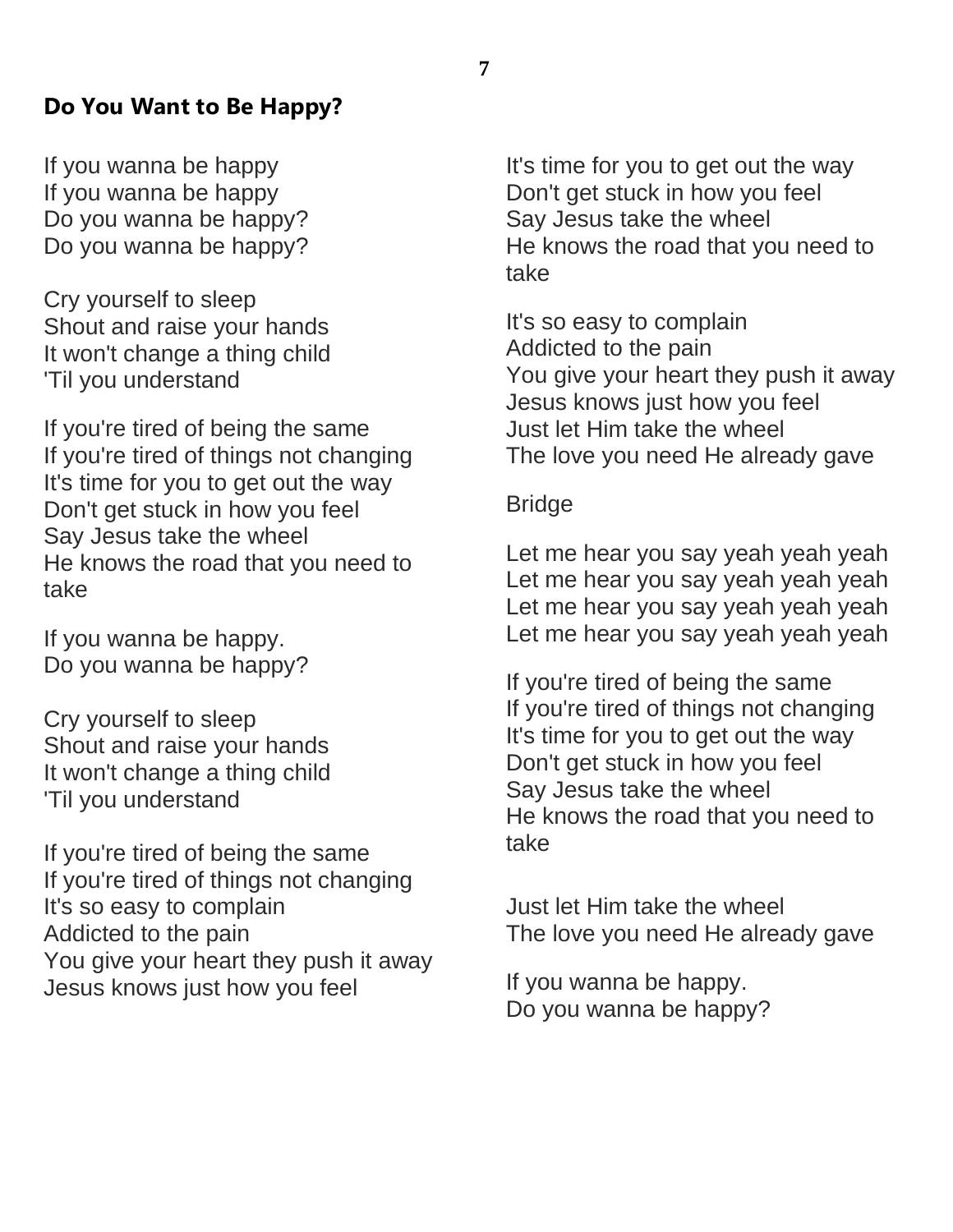#### **Do You Want to Be Happy?**

If you wanna be happy If you wanna be happy Do you wanna be happy? Do you wanna be happy?

Cry yourself to sleep Shout and raise your hands It won't change a thing child 'Til you understand

If you're tired of being the same If you're tired of things not changing It's time for you to get out the way Don't get stuck in how you feel Say Jesus take the wheel He knows the road that you need to take

If you wanna be happy. Do you wanna be happy?

Cry yourself to sleep Shout and raise your hands It won't change a thing child 'Til you understand

If you're tired of being the same If you're tired of things not changing It's so easy to complain Addicted to the pain You give your heart they push it away Jesus knows just how you feel

It's time for you to get out the way Don't get stuck in how you feel Say Jesus take the wheel He knows the road that you need to take

It's so easy to complain Addicted to the pain You give your heart they push it away Jesus knows just how you feel Just let Him take the wheel The love you need He already gave

#### **Bridge**

Let me hear you say yeah yeah yeah Let me hear you say yeah yeah yeah Let me hear you say yeah yeah yeah Let me hear you say yeah yeah yeah

If you're tired of being the same If you're tired of things not changing It's time for you to get out the way Don't get stuck in how you feel Say Jesus take the wheel He knows the road that you need to take

Just let Him take the wheel The love you need He already gave

If you wanna be happy. Do you wanna be happy?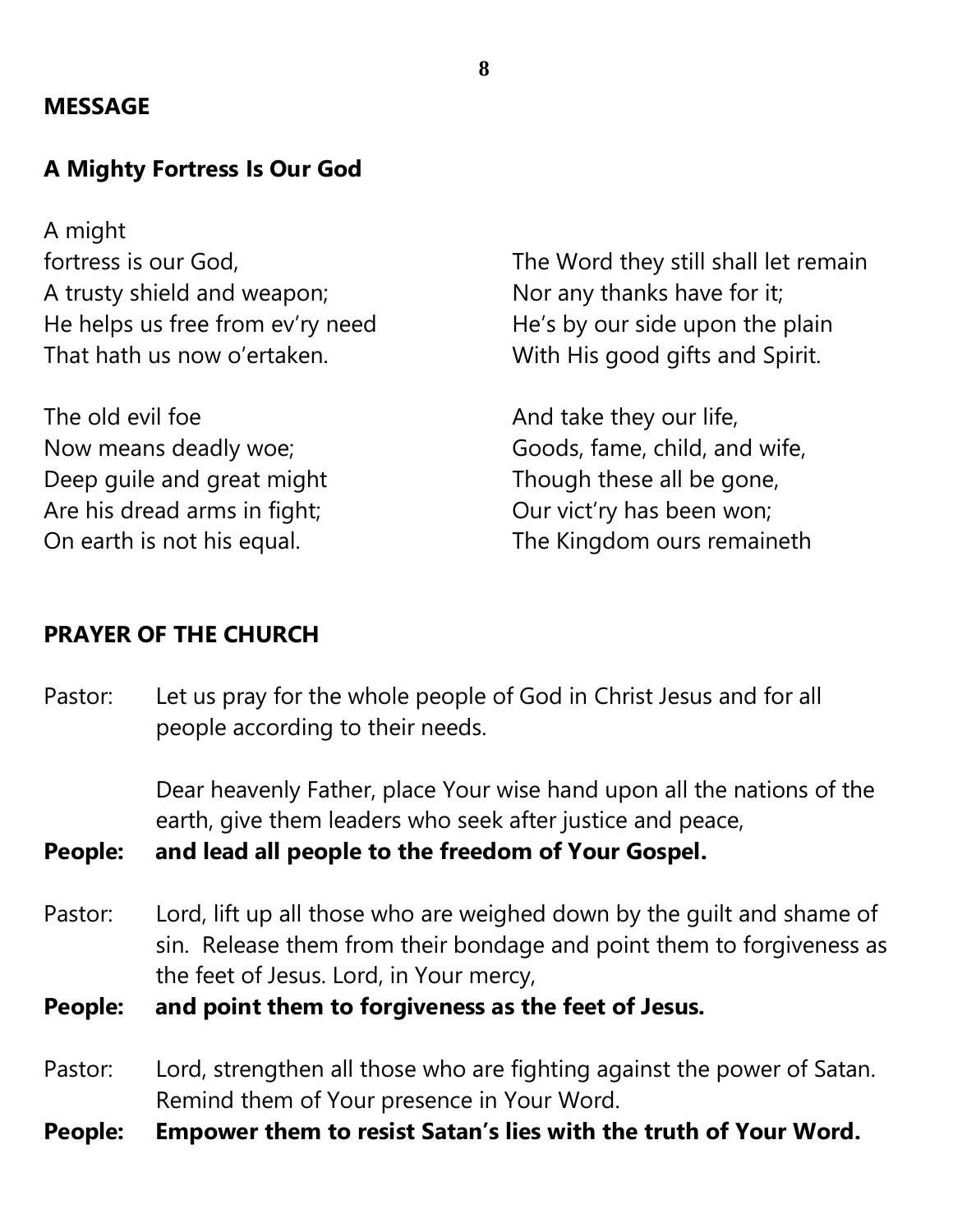#### **MESSAGE**

# **A Mighty Fortress Is Our God**

A might fortress is our God, A trusty shield and weapon; He helps us free from ev'ry need That hath us now o'ertaken.

The old evil foe Now means deadly woe; Deep guile and great might Are his dread arms in fight; On earth is not his equal.

The Word they still shall let remain Nor any thanks have for it; He's by our side upon the plain With His good gifts and Spirit.

And take they our life, Goods, fame, child, and wife, Though these all be gone, Our vict'ry has been won; The Kingdom ours remaineth

#### **PRAYER OF THE CHURCH**

Pastor: Let us pray for the whole people of God in Christ Jesus and for all people according to their needs.

> Dear heavenly Father, place Your wise hand upon all the nations of the earth, give them leaders who seek after justice and peace,

- **People: and lead all people to the freedom of Your Gospel.**
- Pastor: Lord, lift up all those who are weighed down by the guilt and shame of sin. Release them from their bondage and point them to forgiveness as the feet of Jesus. Lord, in Your mercy,
- **People: and point them to forgiveness as the feet of Jesus.**
- Pastor: Lord, strengthen all those who are fighting against the power of Satan. Remind them of Your presence in Your Word.
- **People: Empower them to resist Satan's lies with the truth of Your Word.**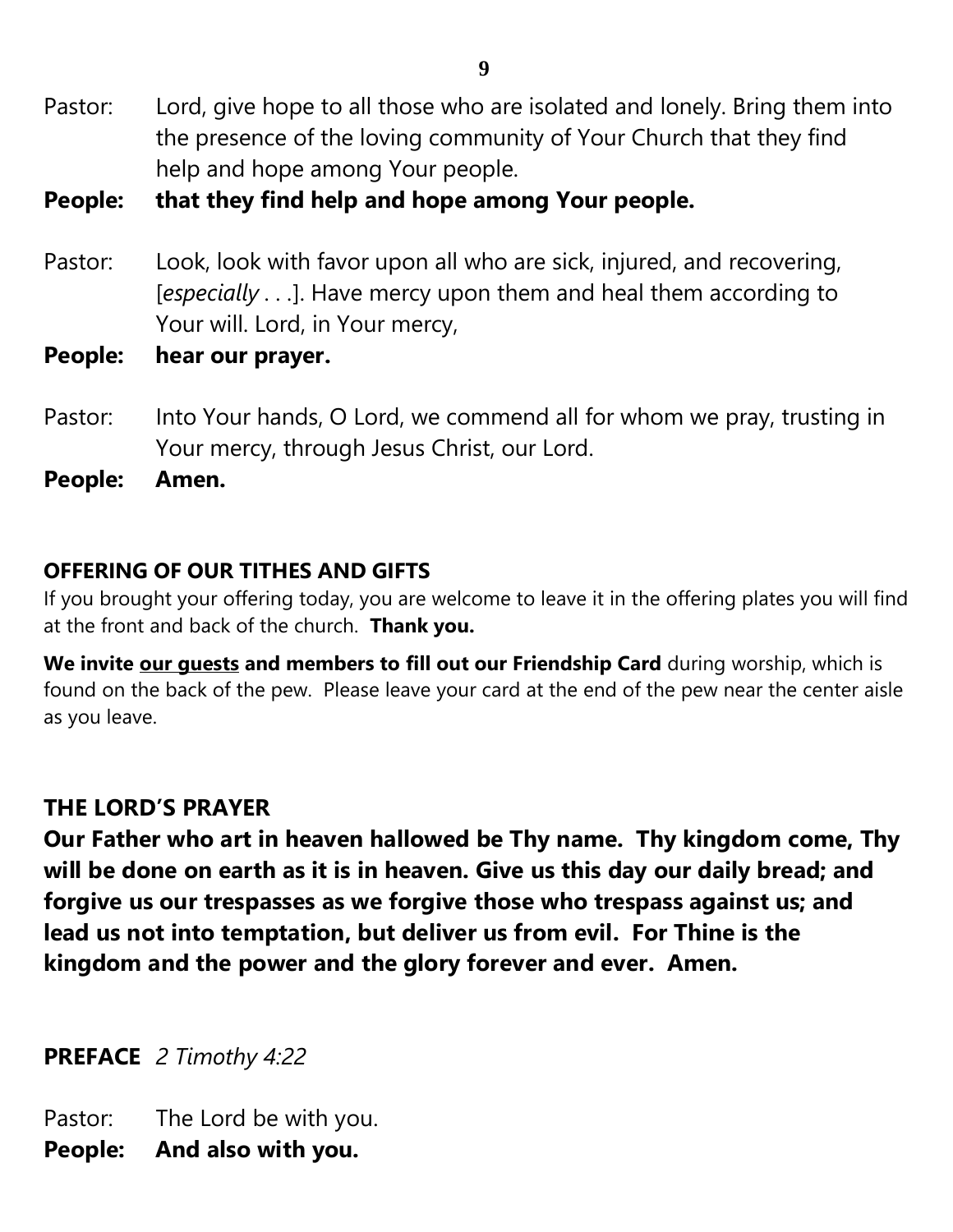Pastor: Lord, give hope to all those who are isolated and lonely. Bring them into the presence of the loving community of Your Church that they find help and hope among Your people.

**People: that they find help and hope among Your people.**

- Pastor: Look, look with favor upon all who are sick, injured, and recovering, [*especially . . .*]. Have mercy upon them and heal them according to Your will. Lord, in Your mercy,
- **People: hear our prayer.**
- Pastor: Into Your hands, O Lord, we commend all for whom we pray, trusting in Your mercy, through Jesus Christ, our Lord.

**People: Amen.**

## **OFFERING OF OUR TITHES AND GIFTS**

If you brought your offering today, you are welcome to leave it in the offering plates you will find at the front and back of the church. **Thank you.**

**We invite our guests and members to fill out our Friendship Card** during worship, which is found on the back of the pew. Please leave your card at the end of the pew near the center aisle as you leave.

#### **THE LORD'S PRAYER**

**Our Father who art in heaven hallowed be Thy name. Thy kingdom come, Thy will be done on earth as it is in heaven. Give us this day our daily bread; and forgive us our trespasses as we forgive those who trespass against us; and lead us not into temptation, but deliver us from evil. For Thine is the kingdom and the power and the glory forever and ever. Amen.**

**PREFACE** *2 Timothy 4:22*

Pastor: The Lord be with you.

**People: And also with you.**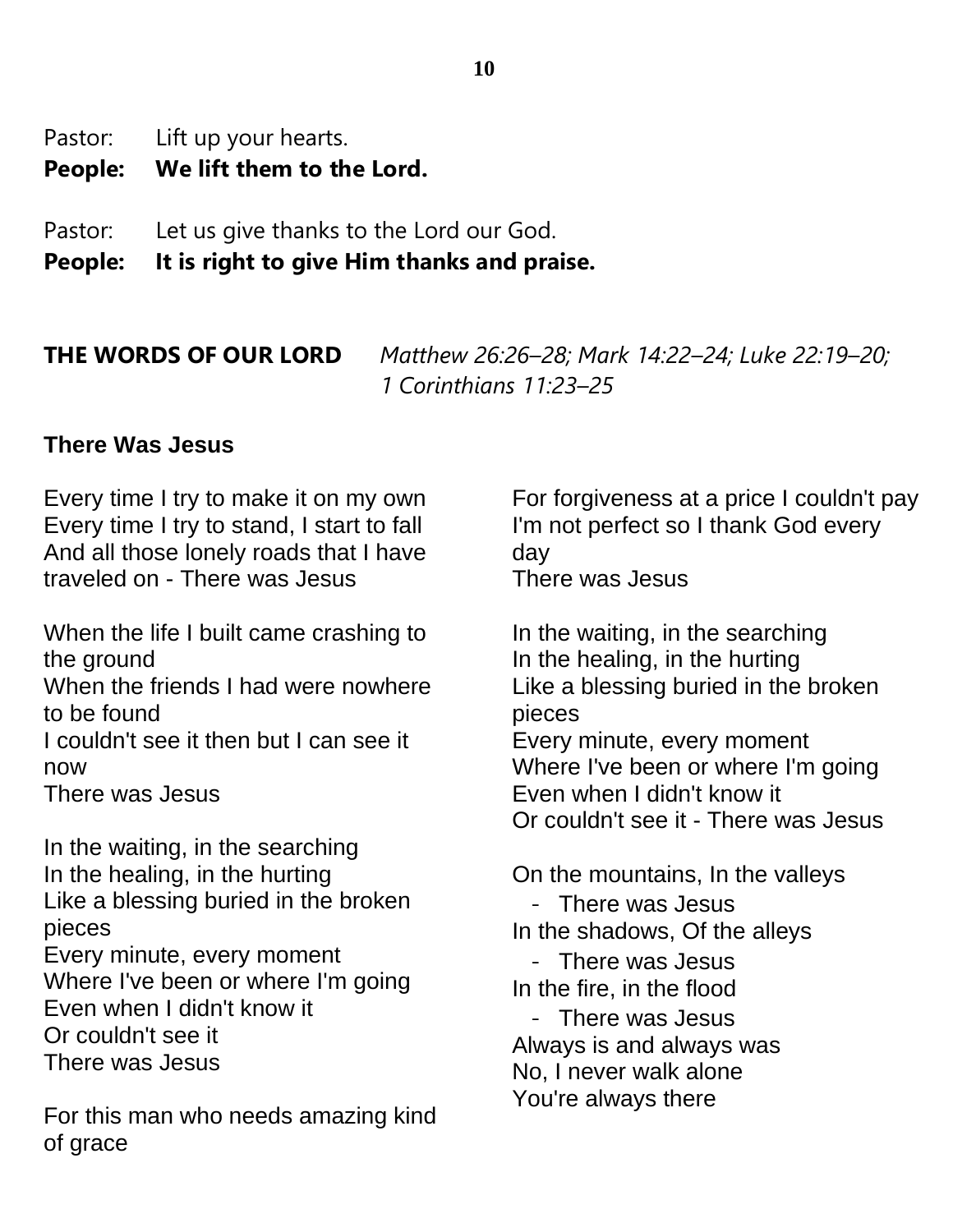Pastor: Lift up your hearts. **People: We lift them to the Lord.**

Pastor: Let us give thanks to the Lord our God.

**People: It is right to give Him thanks and praise.**

**THE WORDS OF OUR LORD** *Matthew 26:26–28; Mark 14:22–24; Luke 22:19–20; 1 Corinthians 11:23–25*

# **There Was Jesus**

Every time I try to make it on my own Every time I try to stand, I start to fall And all those lonely roads that I have traveled on - There was Jesus

When the life I built came crashing to the ground When the friends I had were nowhere to be found

I couldn't see it then but I can see it now

There was Jesus

In the waiting, in the searching In the healing, in the hurting Like a blessing buried in the broken pieces Every minute, every moment Where I've been or where I'm going Even when I didn't know it Or couldn't see it There was Jesus

For this man who needs amazing kind of grace

For forgiveness at a price I couldn't pay I'm not perfect so I thank God every day

There was Jesus

In the waiting, in the searching In the healing, in the hurting Like a blessing buried in the broken pieces Every minute, every moment Where I've been or where I'm going Even when I didn't know it Or couldn't see it - There was Jesus

On the mountains, In the valleys

- There was Jesus In the shadows, Of the alleys

- There was Jesus In the fire, in the flood
- There was Jesus Always is and always was No, I never walk alone You're always there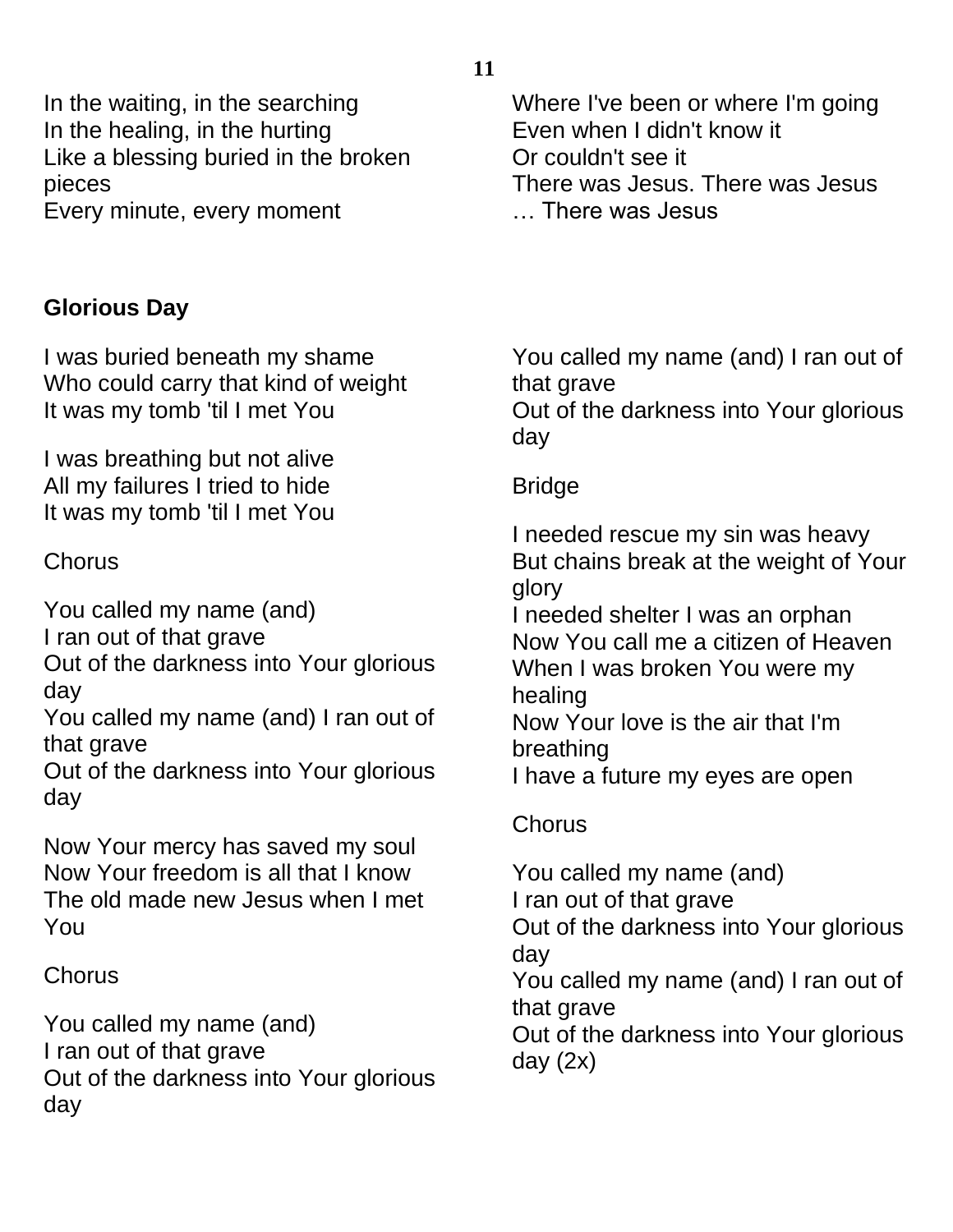In the waiting, in the searching In the healing, in the hurting Like a blessing buried in the broken pieces Every minute, every moment

# **Glorious Day**

I was buried beneath my shame Who could carry that kind of weight It was my tomb 'til I met You

I was breathing but not alive All my failures I tried to hide It was my tomb 'til I met You

**Chorus** 

You called my name (and)

I ran out of that grave

Out of the darkness into Your glorious day

You called my name (and) I ran out of that grave

Out of the darkness into Your glorious day

Now Your mercy has saved my soul Now Your freedom is all that I know The old made new Jesus when I met You

**Chorus** 

You called my name (and) I ran out of that grave Out of the darkness into Your glorious day

Where I've been or where I'm going Even when I didn't know it Or couldn't see it There was Jesus. There was Jesus … There was Jesus

You called my name (and) I ran out of that grave

Out of the darkness into Your glorious day

Bridge

I needed rescue my sin was heavy But chains break at the weight of Your glory

I needed shelter I was an orphan Now You call me a citizen of Heaven When I was broken You were my healing

Now Your love is the air that I'm breathing

I have a future my eyes are open

**Chorus** 

You called my name (and) I ran out of that grave Out of the darkness into Your glorious day You called my name (and) I ran out of that grave Out of the darkness into Your glorious day (2x)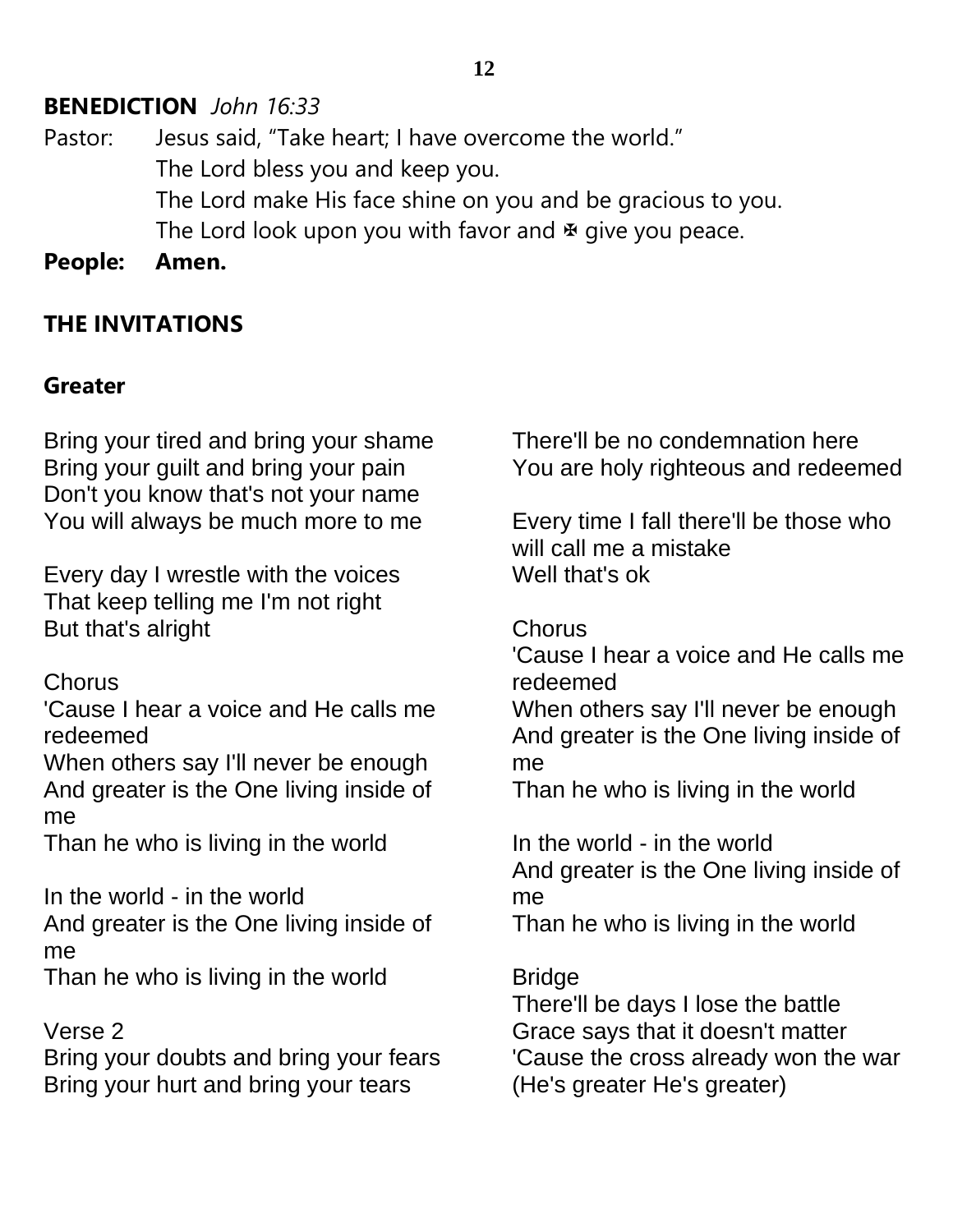## **BENEDICTION** *John 16:33*

Pastor: Jesus said, "Take heart; I have overcome the world." The Lord bless you and keep you. The Lord make His face shine on you and be gracious to you. The Lord look upon you with favor and  $\Phi$  give you peace.

#### **People: Amen.**

#### **THE INVITATIONS**

#### **Greater**

Bring your tired and bring your shame Bring your guilt and bring your pain Don't you know that's not your name You will always be much more to me

Every day I wrestle with the voices That keep telling me I'm not right But that's alright

#### **Chorus**

'Cause I hear a voice and He calls me redeemed

When others say I'll never be enough And greater is the One living inside of me

Than he who is living in the world

In the world - in the world

And greater is the One living inside of me

Than he who is living in the world

#### Verse 2

Bring your doubts and bring your fears Bring your hurt and bring your tears

There'll be no condemnation here You are holy righteous and redeemed

Every time I fall there'll be those who will call me a mistake Well that's ok

**Chorus** 

'Cause I hear a voice and He calls me redeemed

When others say I'll never be enough And greater is the One living inside of me

Than he who is living in the world

In the world - in the world And greater is the One living inside of me

Than he who is living in the world

#### **Bridge**

There'll be days I lose the battle Grace says that it doesn't matter 'Cause the cross already won the war (He's greater He's greater)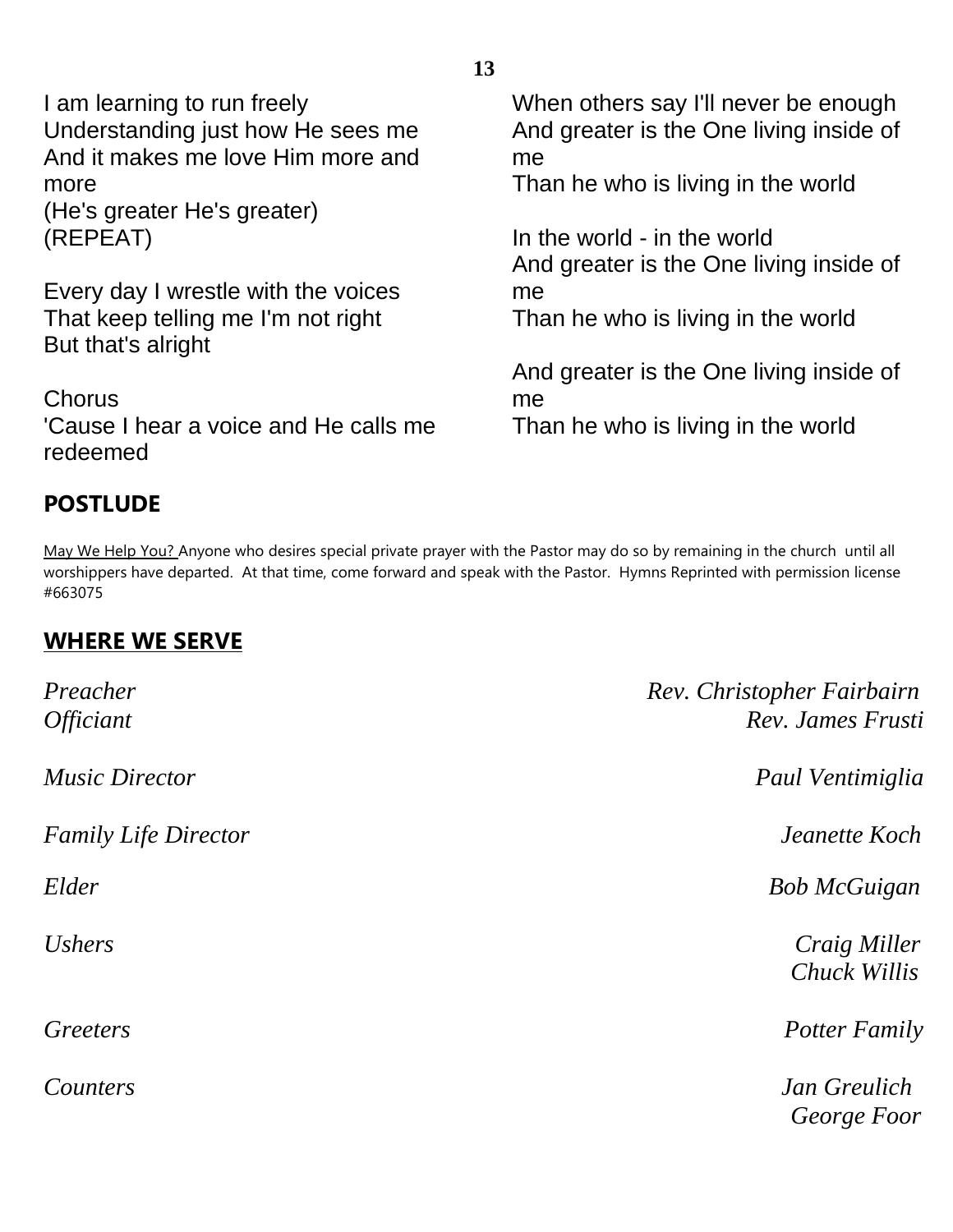| I am learning to run freely<br>Understanding just how He sees me | When others say I'll never be enough<br>And greater is the One living inside of |
|------------------------------------------------------------------|---------------------------------------------------------------------------------|
| And it makes me love Him more and<br>more                        | me<br>Than he who is living in the world                                        |
| (He's greater He's greater)                                      |                                                                                 |
| (REPEAT)                                                         | In the world - in the world<br>And greater is the One living inside of          |
| Every day I wrestle with the voices                              | me                                                                              |
| That keep telling me I'm not right<br>But that's alright         | Than he who is living in the world                                              |
|                                                                  | And greater is the One living inside of                                         |
| Chorus                                                           | me                                                                              |
| 'Cause I hear a voice and He calls me<br>redeemed                | Than he who is living in the world                                              |

**13**

## **POSTLUDE**

May We Help You? Anyone who desires special private prayer with the Pastor may do so by remaining in the church until all worshippers have departed. At that time, come forward and speak with the Pastor. Hymns Reprinted with permission license #663075

# **WHERE WE SERVE**

| Preacher<br><i><b>Officiant</b></i> | Rev. Christopher Fairbairn<br>Rev. James Frusti |
|-------------------------------------|-------------------------------------------------|
| <b>Music Director</b>               | Paul Ventimiglia                                |
| <b>Family Life Director</b>         | Jeanette Koch                                   |
| Elder                               | <b>Bob McGuigan</b>                             |
| <i>Ushers</i>                       | Craig Miller<br>Chuck Willis                    |
| Greeters                            | <b>Potter Family</b>                            |
| Counters                            | Jan Greulich<br>George Foor                     |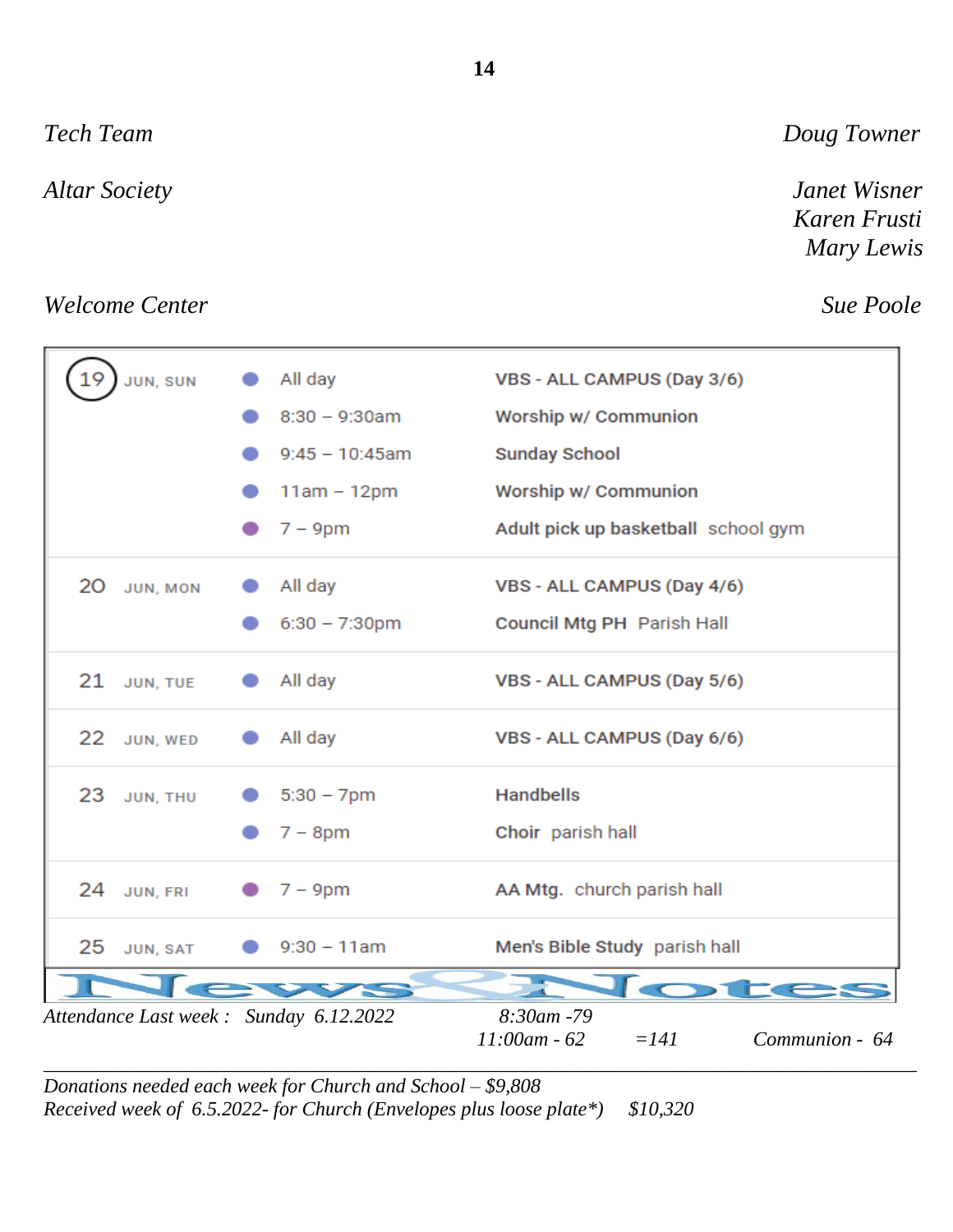*Tech Team Doug Towner* 

*Altar Society Janet Wisner* 

# *Welcome Center* Sue Poole

 $(19)$  JUN, SUN

All day

 $\bullet$ 

 *Karen Frusti Mary Lewis*

|                                        | $8:30 - 9:30$ am  | Worship w/ Communion                                        |
|----------------------------------------|-------------------|-------------------------------------------------------------|
|                                        | $9:45 - 10:45$ am | <b>Sunday School</b>                                        |
|                                        | $11am - 12pm$     | Worship w/ Communion                                        |
|                                        | $7 - 9$ pm        | Adult pick up basketball school gym                         |
| 20 JUN, MON                            | All day           | VBS - ALL CAMPUS (Day 4/6)                                  |
|                                        | $6:30 - 7:30$ pm  | Council Mtg PH Parish Hall                                  |
| 21 JUN, TUE                            | All day           | VBS - ALL CAMPUS (Day 5/6)                                  |
| 22 JUN, WED                            | All day           | VBS - ALL CAMPUS (Day 6/6)                                  |
| 23 JUN, THU                            | $5:30 - 7$ pm     | <b>Handbells</b>                                            |
|                                        | $7 - 8pm$         | Choir parish hall                                           |
| 24<br>JUN, FRI                         | $7 - 9$ pm        | AA Mtg. church parish hall                                  |
| 25<br>JUN, SAT                         | $9:30 - 11$ am    | Men's Bible Study parish hall                               |
|                                        |                   |                                                             |
| Attendance Last week: Sunday 6.12.2022 |                   | $8:30$ am -79<br>$11:00am - 62$<br>$=141$<br>Communion - 64 |

*Donations needed each week for Church and School – \$9,808 Received week of 6.5.2022- for Church (Envelopes plus loose plate\*) \$10,320*

VBS - ALL CAMPUS (Day 3/6)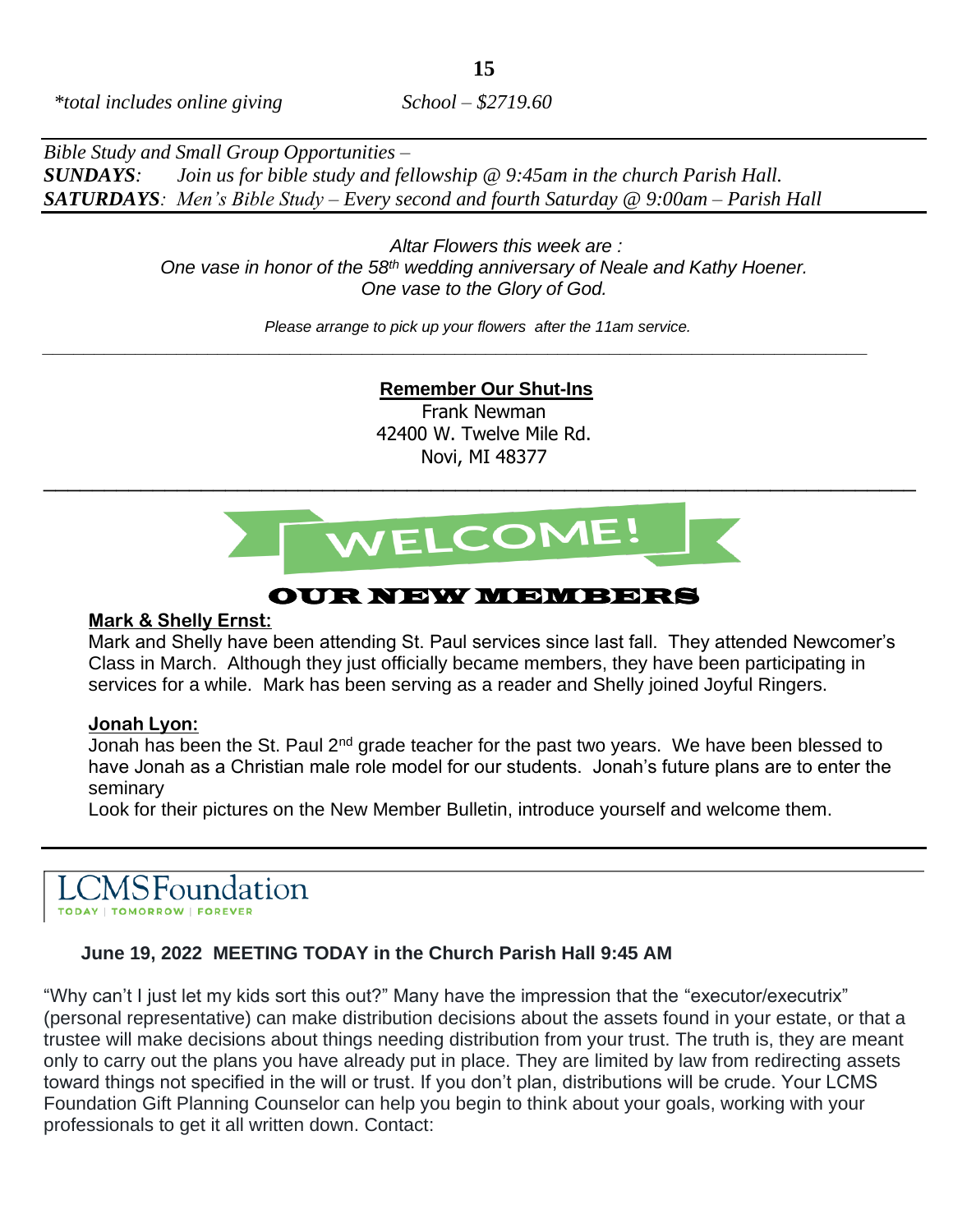*\*total includes online giving School – \$2719.60*

*Bible Study and Small Group Opportunities – SUNDAYS: Join us for bible study and fellowship @ 9:45am in the church Parish Hall. SATURDAYS: Men's Bible Study – Every second and fourth Saturday @ 9:00am – Parish Hall*

> *Altar Flowers this week are : One vase in honor of the 58th wedding anniversary of Neale and Kathy Hoener. One vase to the Glory of God.*

> > *Please arrange to pick up your flowers after the 11am service.*

*\_\_\_\_\_\_\_\_\_\_\_\_\_\_\_\_\_\_\_\_\_\_\_\_\_\_\_\_\_\_\_\_\_\_\_\_\_\_\_\_\_\_\_\_\_\_\_\_\_\_\_\_\_\_\_\_\_\_\_\_\_\_\_\_\_\_\_\_\_\_\_\_\_\_\_\_\_\_\_\_*

**Remember Our Shut-Ins** Frank Newman 42400 W. Twelve Mile Rd. Novi, MI 48377



\_\_\_\_\_\_\_\_\_\_\_\_\_\_\_\_\_\_\_\_\_\_\_\_\_\_\_\_\_\_\_\_\_\_\_\_\_\_\_\_\_\_\_\_\_\_\_\_\_\_\_\_\_\_\_\_\_\_\_\_\_\_\_\_\_\_\_\_\_\_\_\_

#### OUR NEW MEMBERS

#### **Mark & Shelly Ernst:**

Mark and Shelly have been attending St. Paul services since last fall. They attended Newcomer's Class in March. Although they just officially became members, they have been participating in services for a while. Mark has been serving as a reader and Shelly joined Joyful Ringers.

#### **Jonah Lyon:**

Jonah has been the St. Paul  $2^{nd}$  grade teacher for the past two years. We have been blessed to have Jonah as a Christian male role model for our students. Jonah's future plans are to enter the seminary

Look for their pictures on the New Member Bulletin, introduce yourself and welcome them.

#### Foundation **TODAY | TOMORROW | FOREVER**

#### **June 19, 2022 MEETING TODAY in the Church Parish Hall 9:45 AM**

"Why can't I just let my kids sort this out?" Many have the impression that the "executor/executrix" (personal representative) can make distribution decisions about the assets found in your estate, or that a trustee will make decisions about things needing distribution from your trust. The truth is, they are meant only to carry out the plans you have already put in place. They are limited by law from redirecting assets toward things not specified in the will or trust. If you don't plan, distributions will be crude. Your LCMS Foundation Gift Planning Counselor can help you begin to think about your goals, working with your professionals to get it all written down. Contact: